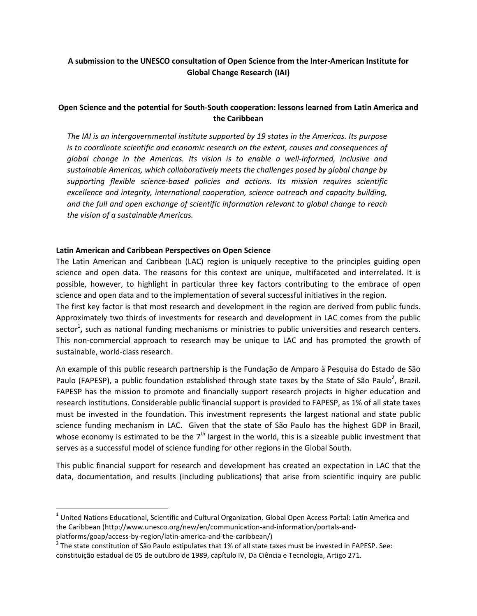# **A submission to the UNESCO consultation of Open Science from the Inter-American Institute for Global Change Research (IAI)**

## **Open Science and the potential for South-South cooperation: lessons learned from Latin America and the Caribbean**

*The IAI is an intergovernmental institute supported by 19 states in the Americas. Its purpose is to coordinate scientific and economic research on the extent, causes and consequences of global change in the Americas. Its vision is to enable a well-informed, inclusive and sustainable Americas, which collaboratively meets the challenges posed by global change by supporting flexible science-based policies and actions. Its mission requires scientific excellence and integrity, international cooperation, science outreach and capacity building, and the full and open exchange of scientific information relevant to global change to reach the vision of a sustainable Americas.*

### **Latin American and Caribbean Perspectives on Open Science**

l

The Latin American and Caribbean (LAC) region is uniquely receptive to the principles guiding open science and open data. The reasons for this context are unique, multifaceted and interrelated. It is possible, however, to highlight in particular three key factors contributing to the embrace of open science and open data and to the implementation of several successful initiatives in the region.

The first key factor is that most research and development in the region are derived from public funds. Approximately two thirds of investments for research and development in LAC comes from the public sector<sup>1</sup>, such as national funding mechanisms or ministries to public universities and research centers. This non-commercial approach to research may be unique to LAC and has promoted the growth of sustainable, world-class research.

An example of this public research partnership is the Fundação de Amparo à Pesquisa do Estado de São Paulo (FAPESP), a public foundation established through state taxes by the State of São Paulo<sup>2</sup>, Brazil. FAPESP has the mission to promote and financially support research projects in higher education and research institutions. Considerable public financial support is provided to FAPESP, as 1% of all state taxes must be invested in the foundation. This investment represents the largest national and state public science funding mechanism in LAC. Given that the state of São Paulo has the highest GDP in Brazil, whose economy is estimated to be the  $7<sup>th</sup>$  largest in the world, this is a sizeable public investment that serves as a successful model of science funding for other regions in the Global South.

This public financial support for research and development has created an expectation in LAC that the data, documentation, and results (including publications) that arise from scientific inquiry are public

 $^1$  United Nations Educational, Scientific and Cultural Organization. Global Open Access Portal: Latin America and the Caribbean (http://www.unesco.org/new/en/communication-and-information/portals-andplatforms/goap/access-by-region/latin-america-and-the-caribbean/)

 $^2$  The state constitution of São Paulo estipulates that 1% of all state taxes must be invested in FAPESP. See: constituição estadual de 05 de outubro de 1989, capítulo IV, Da Ciência e Tecnologia, Artigo 271.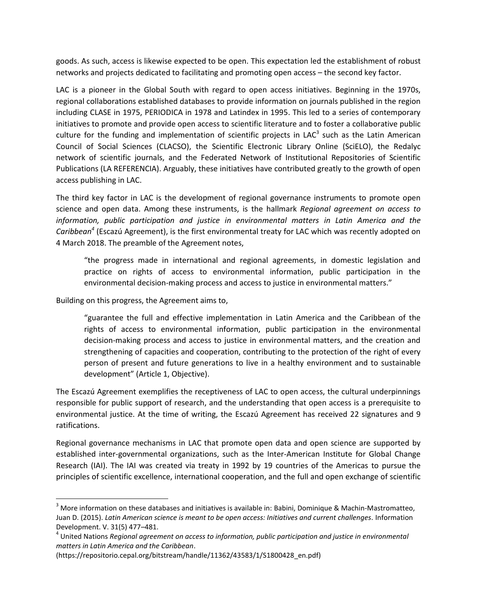goods. As such, access is likewise expected to be open. This expectation led the establishment of robust networks and projects dedicated to facilitating and promoting open access – the second key factor.

LAC is a pioneer in the Global South with regard to open access initiatives. Beginning in the 1970s, regional collaborations established databases to provide information on journals published in the region including CLASE in 1975, PERIODICA in 1978 and Latindex in 1995. This led to a series of contemporary initiatives to promote and provide open access to scientific literature and to foster a collaborative public culture for the funding and implementation of scientific projects in LAC<sup>3</sup> such as the Latin American Council of Social Sciences (CLACSO), the Scientific Electronic Library Online (SciELO), the Redalyc network of scientific journals, and the Federated Network of Institutional Repositories of Scientific Publications (LA REFERENCIA). Arguably, these initiatives have contributed greatly to the growth of open access publishing in LAC.

The third key factor in LAC is the development of regional governance instruments to promote open science and open data. Among these instruments, is the hallmark *Regional agreement on access to information, public participation and justice in environmental matters in Latin America and the Caribbean<sup>4</sup>* (Escazú Agreement), is the first environmental treaty for LAC which was recently adopted on 4 March 2018. The preamble of the Agreement notes,

"the progress made in international and regional agreements, in domestic legislation and practice on rights of access to environmental information, public participation in the environmental decision-making process and access to justice in environmental matters."

Building on this progress, the Agreement aims to,

 $\overline{a}$ 

"guarantee the full and effective implementation in Latin America and the Caribbean of the rights of access to environmental information, public participation in the environmental decision-making process and access to justice in environmental matters, and the creation and strengthening of capacities and cooperation, contributing to the protection of the right of every person of present and future generations to live in a healthy environment and to sustainable development" (Article 1, Objective).

The Escazú Agreement exemplifies the receptiveness of LAC to open access, the cultural underpinnings responsible for public support of research, and the understanding that open access is a prerequisite to environmental justice. At the time of writing, the Escazú Agreement has received 22 signatures and 9 ratifications.

Regional governance mechanisms in LAC that promote open data and open science are supported by established inter-governmental organizations, such as the Inter-American Institute for Global Change Research (IAI). The IAI was created via treaty in 1992 by 19 countries of the Americas to pursue the principles of scientific excellence, international cooperation, and the full and open exchange of scientific

 $3$  More information on these databases and initiatives is available in: Babini, Dominique & Machin-Mastromatteo, Juan D. (2015). *Latin American science is meant to be open access: Initiatives and current challenges.* Information Development. V. 31(5) 477–481.

<sup>4</sup> United Nations *Regional agreement on access to information, public participation and justice in environmental matters in Latin America and the Caribbean*.

<sup>(</sup>https://repositorio.cepal.org/bitstream/handle/11362/43583/1/S1800428\_en.pdf)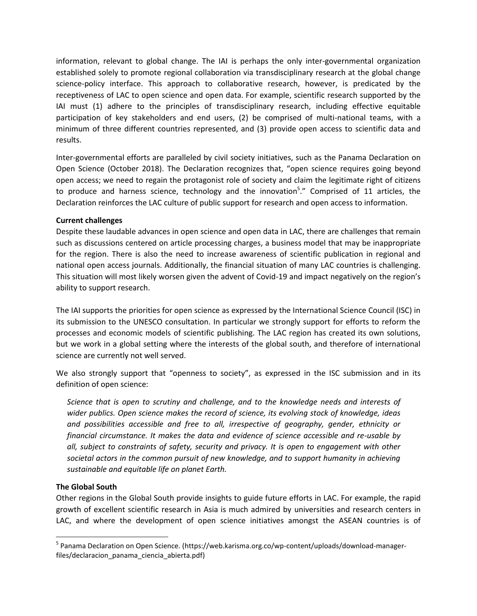information, relevant to global change. The IAI is perhaps the only inter-governmental organization established solely to promote regional collaboration via transdisciplinary research at the global change science-policy interface. This approach to collaborative research, however, is predicated by the receptiveness of LAC to open science and open data. For example, scientific research supported by the IAI must (1) adhere to the principles of transdisciplinary research, including effective equitable participation of key stakeholders and end users, (2) be comprised of multi-national teams, with a minimum of three different countries represented, and (3) provide open access to scientific data and results.

Inter-governmental efforts are paralleled by civil society initiatives, such as the Panama Declaration on Open Science (October 2018). The Declaration recognizes that, "open science requires going beyond open access; we need to regain the protagonist role of society and claim the legitimate right of citizens to produce and harness science, technology and the innovation<sup>5</sup>." Comprised of 11 articles, the Declaration reinforces the LAC culture of public support for research and open access to information.

### **Current challenges**

Despite these laudable advances in open science and open data in LAC, there are challenges that remain such as discussions centered on article processing charges, a business model that may be inappropriate for the region. There is also the need to increase awareness of scientific publication in regional and national open access journals. Additionally, the financial situation of many LAC countries is challenging. This situation will most likely worsen given the advent of Covid-19 and impact negatively on the region's ability to support research.

The IAI supports the priorities for open science as expressed by the International Science Council (ISC) in its submission to the UNESCO consultation. In particular we strongly support for efforts to reform the processes and economic models of scientific publishing. The LAC region has created its own solutions, but we work in a global setting where the interests of the global south, and therefore of international science are currently not well served.

We also strongly support that "openness to society", as expressed in the ISC submission and in its definition of open science:

*Science that is open to scrutiny and challenge, and to the knowledge needs and interests of wider publics. Open science makes the record of science, its evolving stock of knowledge, ideas and possibilities accessible and free to all, irrespective of geography, gender, ethnicity or financial circumstance. It makes the data and evidence of science accessible and re-usable by all, subject to constraints of safety, security and privacy. It is open to engagement with other societal actors in the common pursuit of new knowledge, and to support humanity in achieving sustainable and equitable life on planet Earth.*

## **The Global South**

l

Other regions in the Global South provide insights to guide future efforts in LAC. For example, the rapid growth of excellent scientific research in Asia is much admired by universities and research centers in LAC, and where the development of open science initiatives amongst the ASEAN countries is of

<sup>&</sup>lt;sup>5</sup> Panama Declaration on Open Science. (https://web.karisma.org.co/wp-content/uploads/download-managerfiles/declaracion panama ciencia abierta.pdf)